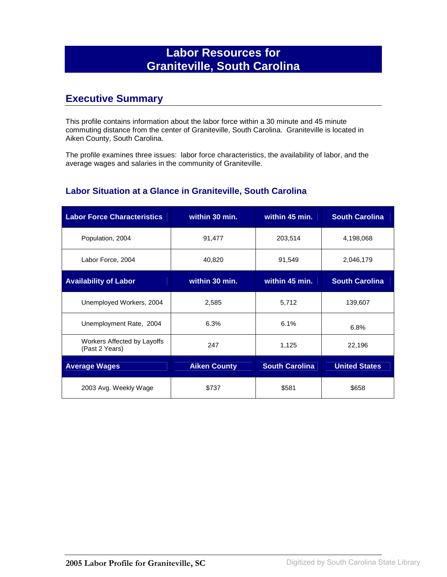## **Labor Resources for Graniteville, South Carolina**

### **Executive Summary**

This profile contains information about the labor force within a 30 minute and 45 minute commuting distance from the center of Graniteville, South Carolina. Graniteville is located in Aiken County, South Carolina.

The profile examines three issues: labor force characteristics, the availability of labor, and the average wages and salaries in the community of Graniteville.

#### **Labor Situation at a Glance in Graniteville, South Carolina**

| <b>Labor Force Characteristics</b>            | within 30 min.      | within 45 min.        | <b>South Carolina</b> |
|-----------------------------------------------|---------------------|-----------------------|-----------------------|
| Population, 2004                              | 91,477              | 203,514               | 4,198,068             |
| Labor Force, 2004                             | 40,820              | 91,549                | 2,046,179             |
| <b>Availability of Labor</b>                  | within 30 min.      | within 45 min.        | <b>South Carolina</b> |
| Unemployed Workers, 2004                      | 2,585               | 5,712                 | 139,607               |
| Unemployment Rate, 2004                       | 6.3%                | 6.1%                  | 6.8%                  |
| Workers Affected by Layoffs<br>(Past 2 Years) | 247                 | 1,125                 | 22,196                |
| <b>Average Wages</b>                          | <b>Aiken County</b> | <b>South Carolina</b> | <b>United States</b>  |
| 2003 Avg. Weekly Wage                         | \$737               | \$581                 | \$658                 |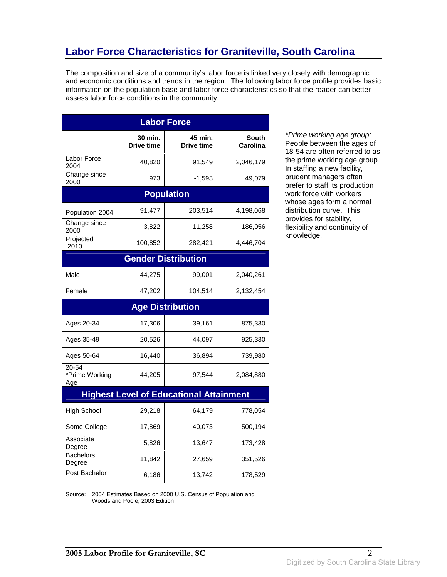# **Labor Force Characteristics for Graniteville, South Carolina**

The composition and size of a community's labor force is linked very closely with demographic and economic conditions and trends in the region. The following labor force profile provides basic information on the population base and labor force characteristics so that the reader can better assess labor force conditions in the community.

| <b>Labor Force</b>             |                              |                                                |                          |  |
|--------------------------------|------------------------------|------------------------------------------------|--------------------------|--|
|                                | 30 min.<br><b>Drive time</b> | 45 min.<br><b>Drive time</b>                   | <b>South</b><br>Carolina |  |
| Labor Force<br>2004            | 40,820                       | 91,549                                         | 2,046,179                |  |
| Change since<br>2000           | 973                          | $-1,593$                                       | 49,079                   |  |
|                                |                              | <b>Population</b>                              |                          |  |
| Population 2004                | 91,477                       | 203,514                                        | 4,198,068                |  |
| Change since<br>2000           | 3,822                        | 11,258                                         | 186,056                  |  |
| Projected<br>2010              | 100,852                      | 282,421                                        | 4,446,704                |  |
|                                |                              | <b>Gender Distribution</b>                     |                          |  |
| Male                           | 44,275                       | 99,001                                         | 2,040,261                |  |
| Female                         | 47,202                       | 104,514                                        | 2,132,454                |  |
|                                |                              | <b>Age Distribution</b>                        |                          |  |
| Ages 20-34                     | 17,306                       | 39,161                                         | 875,330                  |  |
| Ages 35-49                     | 20,526                       | 44,097                                         | 925,330                  |  |
| Ages 50-64                     | 16,440                       | 36,894                                         | 739,980                  |  |
| 20-54<br>*Prime Working<br>Age | 44,205                       | 97,544                                         | 2,084,880                |  |
|                                |                              | <b>Highest Level of Educational Attainment</b> |                          |  |
| <b>High School</b>             | 29,218                       | 64,179                                         | 778,054                  |  |
| Some College                   | 17,869                       | 40,073                                         | 500,194                  |  |
| Associate<br>Degree            | 5,826                        | 13,647                                         | 173,428                  |  |
| <b>Bachelors</b><br>Degree     | 11,842                       | 27,659                                         | 351,526                  |  |
| Post Bachelor                  | 6,186                        | 13,742                                         | 178,529                  |  |

\*Prime working age group: People between the ages of 18-54 are often referred to as the prime working age group. In staffing a new facility, prudent managers often prefer to staff its production work force with workers whose ages form a normal distribution curve. This provides for stability, flexibility and continuity of knowledge.

Source: 2004 Estimates Based on 2000 U.S. Census of Population and Woods and Poole, 2003 Edition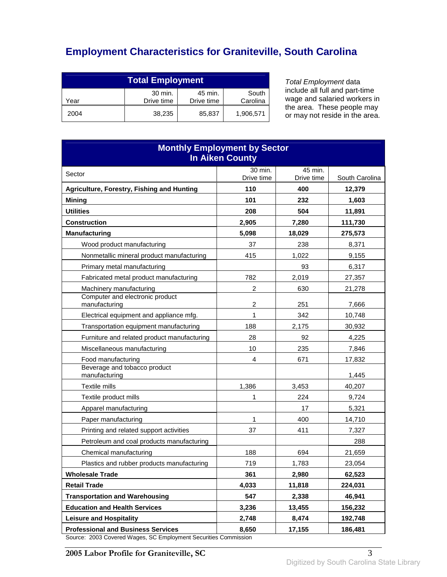# **Employment Characteristics for Graniteville, South Carolina**

| <b>Total Employment</b>                                                     |        |        |           |  |
|-----------------------------------------------------------------------------|--------|--------|-----------|--|
| 30 min.<br>45 min.<br>South<br>Carolina<br>Drive time<br>Drive time<br>Year |        |        |           |  |
| 2004                                                                        | 38.235 | 85,837 | 1,906,571 |  |

Total Employment data include all full and part-time wage and salaried workers in the area. These people may or may not reside in the area.

| <b>Monthly Employment by Sector</b><br><b>In Aiken County</b>         |                  |              |                   |
|-----------------------------------------------------------------------|------------------|--------------|-------------------|
| Sector                                                                | 30 min.          | 45 min.      |                   |
|                                                                       | Drive time       | Drive time   | South Carolina    |
| Agriculture, Forestry, Fishing and Hunting                            | 110<br>101       | 400          | 12,379            |
| <b>Mining</b><br><b>Utilities</b>                                     |                  | 232          | 1,603             |
| <b>Construction</b>                                                   | 208<br>2,905     | 504<br>7,280 | 11,891<br>111,730 |
| <b>Manufacturing</b>                                                  | 5,098            | 18,029       | 275,573           |
| Wood product manufacturing                                            | 37               | 238          | 8,371             |
| Nonmetallic mineral product manufacturing                             | 415              | 1,022        | 9,155             |
|                                                                       |                  | 93           | 6,317             |
| Primary metal manufacturing<br>Fabricated metal product manufacturing | 782              | 2,019        |                   |
| Machinery manufacturing                                               | $\boldsymbol{2}$ | 630          | 27,357<br>21,278  |
| Computer and electronic product<br>manufacturing                      | 2                | 251          | 7,666             |
| Electrical equipment and appliance mfg.                               | 1                | 342          | 10,748            |
| Transportation equipment manufacturing                                | 188              | 2,175        | 30,932            |
| Furniture and related product manufacturing                           | 28               | 92           | 4,225             |
| Miscellaneous manufacturing                                           | 10               | 235          | 7,846             |
| Food manufacturing                                                    | 4                | 671          | 17,832            |
| Beverage and tobacco product<br>manufacturing                         |                  |              | 1,445             |
| Textile mills                                                         | 1,386            | 3,453        | 40,207            |
| Textile product mills                                                 | 1                | 224          | 9,724             |
| Apparel manufacturing                                                 |                  | 17           | 5,321             |
| Paper manufacturing                                                   | 1                | 400          | 14,710            |
| Printing and related support activities                               | 37               | 411          | 7,327             |
| Petroleum and coal products manufacturing                             |                  |              | 288               |
| Chemical manufacturing                                                | 188              | 694          | 21,659            |
| Plastics and rubber products manufacturing                            | 719              | 1,783        | 23,054            |
| <b>Wholesale Trade</b>                                                | 361              | 2,980        | 62,523            |
| <b>Retail Trade</b>                                                   | 4,033            | 11,818       | 224,031           |
| <b>Transportation and Warehousing</b>                                 | 547              | 2,338        | 46,941            |
| <b>Education and Health Services</b>                                  | 3,236            | 13,455       | 156,232           |
| <b>Leisure and Hospitality</b>                                        | 2,748            | 8,474        | 192,748           |
| <b>Professional and Business Services</b>                             | 8,650            | 17,155       | 186,481           |

Source: 2003 Covered Wages, SC Employment Securities Commission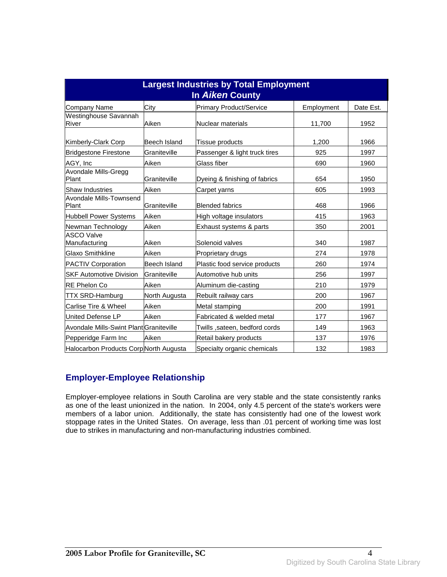| <b>Largest Industries by Total Employment</b><br>In Aiken County |               |                               |            |           |
|------------------------------------------------------------------|---------------|-------------------------------|------------|-----------|
| <b>Company Name</b>                                              | City          | Primary Product/Service       | Employment | Date Est. |
| Westinghouse Savannah<br>River                                   | Aiken         | Nuclear materials             | 11,700     | 1952      |
| Kimberly-Clark Corp                                              | Beech Island  | Tissue products               | 1,200      | 1966      |
| <b>Bridgestone Firestone</b>                                     | Graniteville  | Passenger & light truck tires | 925        | 1997      |
| AGY, Inc                                                         | Aiken         | Glass fiber                   | 690        | 1960      |
| Avondale Mills-Gregg<br>Plant                                    | Graniteville  | Dyeing & finishing of fabrics | 654        | 1950      |
| <b>Shaw Industries</b>                                           | Aiken         | Carpet yarns                  | 605        | 1993      |
| Avondale Mills-Townsend<br>Plant                                 | Graniteville  | <b>Blended fabrics</b>        | 468        | 1966      |
| <b>Hubbell Power Systems</b>                                     | Aiken         | High voltage insulators       | 415        | 1963      |
| Newman Technology                                                | Aiken         | Exhaust systems & parts       | 350        | 2001      |
| <b>ASCO Valve</b><br>Manufacturing                               | Aiken         | Solenoid valves               | 340        | 1987      |
| <b>Glaxo Smithkline</b>                                          | Aiken         | Proprietary drugs             | 274        | 1978      |
| <b>PACTIV Corporation</b>                                        | Beech Island  | Plastic food service products | 260        | 1974      |
| <b>SKF Automotive Division</b>                                   | Graniteville  | Automotive hub units          | 256        | 1997      |
| <b>RE Phelon Co</b>                                              | Aiken         | Aluminum die-casting          | 210        | 1979      |
| <b>TTX SRD-Hamburg</b>                                           | North Augusta | Rebuilt railway cars          | 200        | 1967      |
| Carlise Tire & Wheel                                             | Aiken         | Metal stamping                | 200        | 1991      |
| United Defense LP                                                | Aiken         | Fabricated & welded metal     | 177        | 1967      |
| Avondale Mills-Swint Plant Graniteville                          |               | Twills ,sateen, bedford cords | 149        | 1963      |
| Pepperidge Farm Inc                                              | Aiken         | Retail bakery products        | 137        | 1976      |
| Halocarbon Products Corp North Augusta                           |               | Specialty organic chemicals   | 132        | 1983      |

#### **Employer-Employee Relationship**

Employer-employee relations in South Carolina are very stable and the state consistently ranks as one of the least unionized in the nation. In 2004, only 4.5 percent of the state's workers were members of a labor union. Additionally, the state has consistently had one of the lowest work stoppage rates in the United States. On average, less than .01 percent of working time was lost due to strikes in manufacturing and non-manufacturing industries combined.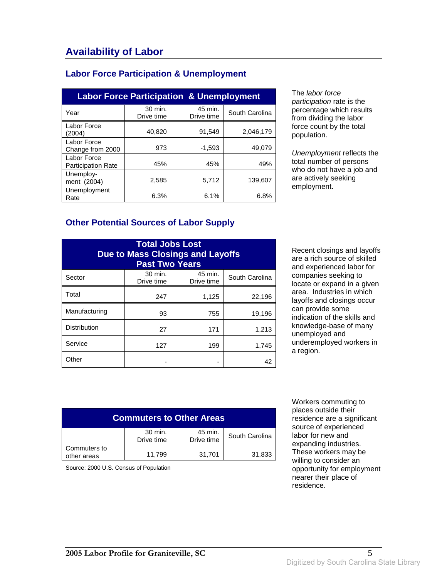#### **Labor Force Participation & Unemployment**

| <b>Labor Force Participation &amp; Unemployment</b> |                       |                       |                |  |
|-----------------------------------------------------|-----------------------|-----------------------|----------------|--|
| Year                                                | 30 min.<br>Drive time | 45 min.<br>Drive time | South Carolina |  |
| Labor Force<br>(2004)                               | 40,820                | 91,549                | 2,046,179      |  |
| Labor Force<br>Change from 2000                     | 973                   | $-1,593$              | 49.079         |  |
| Labor Force<br><b>Participation Rate</b>            | 45%                   | 45%                   | 49%            |  |
| Unemploy-<br>ment (2004)                            | 2,585                 | 5,712                 | 139.607        |  |
| Unemployment<br>Rate                                | 6.3%                  | 6.1%                  | 6.8%           |  |

The labor force participation rate is the percentage which results from dividing the labor force count by the total population.

Unemployment reflects the total number of persons who do not have a job and are actively seeking employment.

#### **Other Potential Sources of Labor Supply**

| <b>Total Jobs Lost</b><br><b>Due to Mass Closings and Layoffs</b><br><b>Past Two Years</b> |                       |                       |                |
|--------------------------------------------------------------------------------------------|-----------------------|-----------------------|----------------|
| Sector                                                                                     | 30 min.<br>Drive time | 45 min.<br>Drive time | South Carolina |
| Total                                                                                      | 247                   | 1,125                 | 22,196         |
| Manufacturing                                                                              | 93                    | 755                   | 19,196         |
| <b>Distribution</b>                                                                        | 27                    | 171                   | 1,213          |
| Service                                                                                    | 127                   | 199                   | 1,745          |
| Other                                                                                      |                       |                       | 42             |

Recent closings and layoffs are a rich source of skilled and experienced labor for companies seeking to locate or expand in a given area. Industries in which layoffs and closings occur can provide some indication of the skills and knowledge-base of many unemployed and underemployed workers in a region.

| <b>Commuters to Other Areas</b>                                  |        |        |        |  |
|------------------------------------------------------------------|--------|--------|--------|--|
| 30 min.<br>45 min.<br>South Carolina<br>Drive time<br>Drive time |        |        |        |  |
| Commuters to<br>other areas                                      | 11,799 | 31,701 | 31,833 |  |

Source: 2000 U.S. Census of Population

 Workers commuting to places outside their residence are a significant source of experienced labor for new and expanding industries. These workers may be willing to consider an opportunity for employment nearer their place of residence.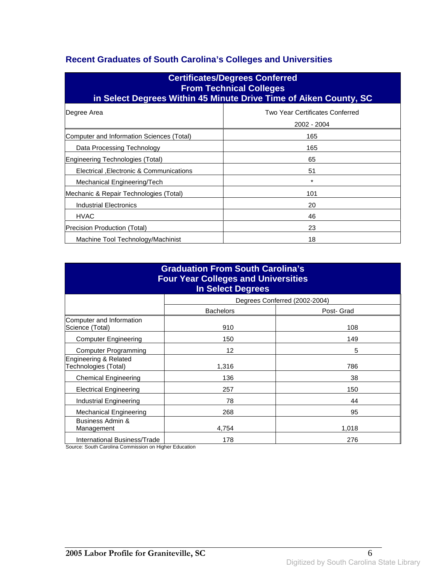### **Recent Graduates of South Carolina's Colleges and Universities**

| <b>Certificates/Degrees Conferred</b><br><b>From Technical Colleges</b><br>in Select Degrees Within 45 Minute Drive Time of Aiken County, SC |                                                |  |  |
|----------------------------------------------------------------------------------------------------------------------------------------------|------------------------------------------------|--|--|
| Degree Area                                                                                                                                  | Two Year Certificates Conferred<br>2002 - 2004 |  |  |
| Computer and Information Sciences (Total)                                                                                                    | 165                                            |  |  |
| Data Processing Technology                                                                                                                   | 165                                            |  |  |
| Engineering Technologies (Total)                                                                                                             | 65                                             |  |  |
| Electrical , Electronic & Communications                                                                                                     | 51                                             |  |  |
| Mechanical Engineering/Tech                                                                                                                  | $\star$                                        |  |  |
| Mechanic & Repair Technologies (Total)                                                                                                       | 101                                            |  |  |
| Industrial Electronics                                                                                                                       | 20                                             |  |  |
| <b>HVAC</b>                                                                                                                                  | 46                                             |  |  |
| Precision Production (Total)                                                                                                                 | 23                                             |  |  |
| Machine Tool Technology/Machinist                                                                                                            | 18                                             |  |  |

| <b>Graduation From South Carolina's</b><br><b>Four Year Colleges and Universities</b><br><b>In Select Degrees</b> |                  |                               |  |
|-------------------------------------------------------------------------------------------------------------------|------------------|-------------------------------|--|
|                                                                                                                   |                  | Degrees Conferred (2002-2004) |  |
|                                                                                                                   | <b>Bachelors</b> | Post- Grad                    |  |
| Computer and Information<br>Science (Total)                                                                       | 910              | 108                           |  |
| <b>Computer Engineering</b>                                                                                       | 150              | 149                           |  |
| Computer Programming                                                                                              | 12               | 5                             |  |
| Engineering & Related<br>Technologies (Total)                                                                     | 1,316            | 786                           |  |
| <b>Chemical Engineering</b>                                                                                       | 136              | 38                            |  |
| <b>Electrical Engineering</b>                                                                                     | 257              | 150                           |  |
| Industrial Engineering                                                                                            | 78               | 44                            |  |
| <b>Mechanical Engineering</b>                                                                                     | 268              | 95                            |  |
| Business Admin &<br>Management                                                                                    | 4,754            | 1,018                         |  |
| International Business/Trade                                                                                      | 178              | 276                           |  |

Source: South Carolina Commission on Higher Education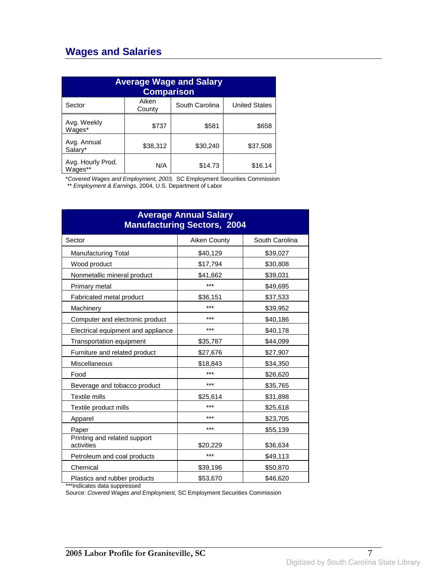## **Wages and Salaries**

| <b>Average Wage and Salary</b><br><b>Comparison</b> |                 |                |                      |
|-----------------------------------------------------|-----------------|----------------|----------------------|
| Sector                                              | Aiken<br>County | South Carolina | <b>United States</b> |
| Avg. Weekly<br>Wages*                               | \$737           | \$581          | \$658                |
| Avg. Annual<br>Salarv*                              | \$38,312        | \$30,240       | \$37,508             |
| Avg. Hourly Prod.<br>Wages**                        | N/A             | \$14.73        | \$16.14              |

\*Covered Wages and Employment, 2003, SC Employment Securities Commission

\*\* Employment & Earnings, 2004, U.S. Department of Labor

| <b>Average Annual Salary</b><br><b>Manufacturing Sectors, 2004</b> |              |                |  |
|--------------------------------------------------------------------|--------------|----------------|--|
| Sector                                                             | Aiken County | South Carolina |  |
| <b>Manufacturing Total</b>                                         | \$40,129     | \$39,027       |  |
| Wood product                                                       | \$17,794     | \$30,808       |  |
| Nonmetallic mineral product                                        | \$41,662     | \$39,031       |  |
| Primary metal                                                      | ***          | \$49,695       |  |
| Fabricated metal product                                           | \$36,151     | \$37,533       |  |
| Machinery                                                          | ***          | \$39,952       |  |
| Computer and electronic product                                    | ***          | \$40,186       |  |
| Electrical equipment and appliance                                 | ***          | \$40,178       |  |
| Transportation equipment                                           | \$35,787     | \$44,099       |  |
| Furniture and related product                                      | \$27,676     | \$27,907       |  |
| Miscellaneous                                                      | \$18,843     | \$34,350       |  |
| Food                                                               | ***          | \$26,620       |  |
| Beverage and tobacco product                                       | ***          | \$35,765       |  |
| <b>Textile mills</b>                                               | \$25,614     | \$31,898       |  |
| Textile product mills                                              | ***          | \$25,618       |  |
| Apparel                                                            | ***          | \$23,705       |  |
| Paper                                                              | ***          | \$55,139       |  |
| Printing and related support<br>activities                         | \$20,229     | \$36,634       |  |
| Petroleum and coal products                                        | ***          | \$49,113       |  |
| Chemical                                                           | \$39,196     | \$50,870       |  |
| Plastics and rubber products                                       | \$53,670     | \$46,620       |  |

\*\*\*Indicates data suppressed

Source: Covered Wages and Employment, SC Employment Securities Commission